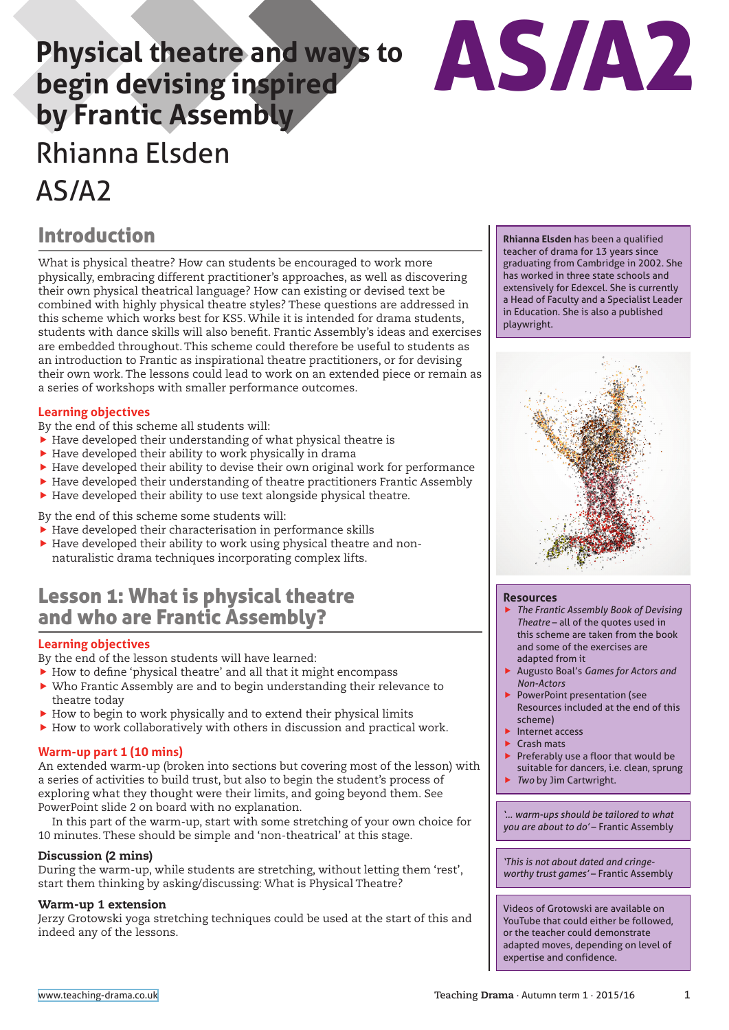# **Physical theatre and ways to begin devising inspired by Frantic Assembly** Rhianna Elsden AS/A2



## Introduction

What is physical theatre? How can students be encouraged to work more physically, embracing different practitioner's approaches, as well as discovering their own physical theatrical language? How can existing or devised text be combined with highly physical theatre styles? These questions are addressed in this scheme which works best for KS5. While it is intended for drama students, students with dance skills will also benefit. Frantic Assembly's ideas and exercises are embedded throughout. This scheme could therefore be useful to students as an introduction to Frantic as inspirational theatre practitioners, or for devising their own work. The lessons could lead to work on an extended piece or remain as a series of workshops with smaller performance outcomes.

#### **Learning objectives**

- By the end of this scheme all students will:
- $\blacktriangleright$  Have developed their understanding of what physical theatre is
- $\blacktriangleright$  Have developed their ability to work physically in drama
- $\blacktriangleright$  Have developed their ability to devise their own original work for performance
- $\blacktriangleright$  Have developed their understanding of theatre practitioners Frantic Assembly
- $\blacktriangleright$  Have developed their ability to use text alongside physical theatre.

By the end of this scheme some students will:

- $\blacktriangleright$  Have developed their characterisation in performance skills
- $\blacktriangleright$  Have developed their ability to work using physical theatre and nonnaturalistic drama techniques incorporating complex lifts.

## Lesson 1: What is physical theatre and who are Frantic Assembly?

#### **Learning objectives**

- By the end of the lesson students will have learned:
- $\blacktriangleright$  How to define 'physical theatre' and all that it might encompass
- $\triangleright$  Who Frantic Assembly are and to begin understanding their relevance to theatre today
- $\blacktriangleright$  How to begin to work physically and to extend their physical limits
- $\blacktriangleright$  How to work collaboratively with others in discussion and practical work.

#### **Warm-up part 1 (10 mins)**

An extended warm-up (broken into sections but covering most of the lesson) with a series of activities to build trust, but also to begin the student's process of exploring what they thought were their limits, and going beyond them. See PowerPoint slide 2 on board with no explanation.

In this part of the warm-up, start with some stretching of your own choice for 10 minutes. These should be simple and 'non-theatrical' at this stage.

#### Discussion (2 mins)

During the warm-up, while students are stretching, without letting them 'rest', start them thinking by asking/discussing: What is Physical Theatre?

#### Warm-up 1 extension

Jerzy Grotowski yoga stretching techniques could be used at the start of this and indeed any of the lessons.

**Rhianna Elsden** has been a qualified teacher of drama for 13 years since graduating from Cambridge in 2002. She has worked in three state schools and extensively for Edexcel. She is currently a Head of Faculty and a Specialist Leader in Education. She is also a published playwright.



#### **Resources**

- **Fig. 7 Frantic Assembly Book of Devising** *Theatre* – all of the quotes used in this scheme are taken from the book and some of the exercises are adapted from it
- **Augusto Boal's Games for Actors and** *Non-Actors*
- PowerPoint presentation (see Resources included at the end of this scheme)
- $\blacktriangleright$  Internet access
- **Crash mats**
- Preferably use a floor that would be suitable for dancers, i.e. clean, sprung
- *Two* by Jim Cartwright.

*'… warm-ups should be tailored to what you are about to do'* – Frantic Assembly

*'This is not about dated and cringeworthy trust games'* – Frantic Assembly

Videos of Grotowski are available on YouTube that could either be followed, or the teacher could demonstrate adapted moves, depending on level of expertise and confidence.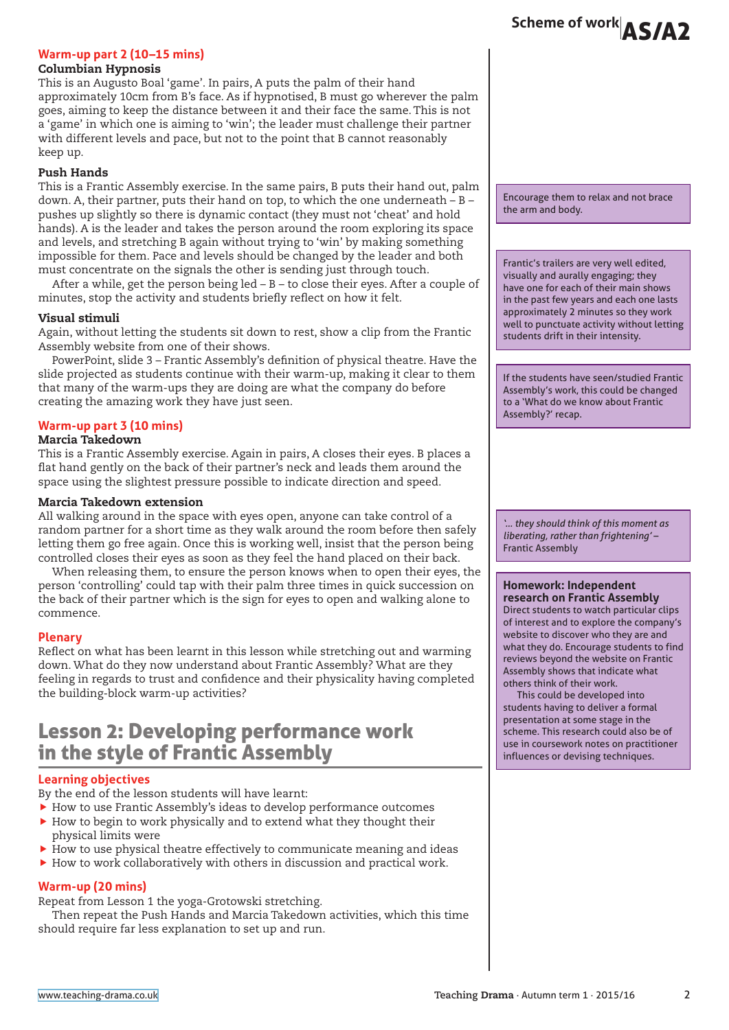#### **Warm-up part 2 (10–15 mins)**

#### Columbian Hypnosis

This is an Augusto Boal 'game'. In pairs, A puts the palm of their hand approximately 10cm from B's face. As if hypnotised, B must go wherever the palm goes, aiming to keep the distance between it and their face the same. This is not a 'game' in which one is aiming to 'win'; the leader must challenge their partner with different levels and pace, but not to the point that B cannot reasonably keep up.

#### Push Hands

This is a Frantic Assembly exercise. In the same pairs, B puts their hand out, palm down. A, their partner, puts their hand on top, to which the one underneath – B – pushes up slightly so there is dynamic contact (they must not 'cheat' and hold hands). A is the leader and takes the person around the room exploring its space and levels, and stretching B again without trying to 'win' by making something impossible for them. Pace and levels should be changed by the leader and both must concentrate on the signals the other is sending just through touch.

After a while, get the person being led – B – to close their eyes. After a couple of minutes, stop the activity and students briefly reflect on how it felt.

#### Visual stimuli

Again, without letting the students sit down to rest, show a clip from the Frantic Assembly website from one of their shows.

PowerPoint, slide 3 – Frantic Assembly's definition of physical theatre. Have the slide projected as students continue with their warm-up, making it clear to them that many of the warm-ups they are doing are what the company do before creating the amazing work they have just seen.

### **Warm-up part 3 (10 mins)**

#### Marcia Takedown

This is a Frantic Assembly exercise. Again in pairs, A closes their eyes. B places a flat hand gently on the back of their partner's neck and leads them around the space using the slightest pressure possible to indicate direction and speed.

#### Marcia Takedown extension

All walking around in the space with eyes open, anyone can take control of a random partner for a short time as they walk around the room before then safely letting them go free again. Once this is working well, insist that the person being controlled closes their eyes as soon as they feel the hand placed on their back.

When releasing them, to ensure the person knows when to open their eyes, the person 'controlling' could tap with their palm three times in quick succession on the back of their partner which is the sign for eyes to open and walking alone to commence.

#### **Plenary**

Reflect on what has been learnt in this lesson while stretching out and warming down. What do they now understand about Frantic Assembly? What are they feeling in regards to trust and confidence and their physicality having completed the building-block warm-up activities?

## Lesson 2: Developing performance work in the style of Frantic Assembly

#### **Learning objectives**

By the end of the lesson students will have learnt:

 $\blacktriangleright$  How to use Frantic Assembly's ideas to develop performance outcomes

- $\blacktriangleright$  How to begin to work physically and to extend what they thought their physical limits were
- $\blacktriangleright$  How to use physical theatre effectively to communicate meaning and ideas
- $\blacktriangleright$  How to work collaboratively with others in discussion and practical work.

#### **Warm-up (20 mins)**

Repeat from Lesson 1 the yoga-Grotowski stretching.

Then repeat the Push Hands and Marcia Takedown activities, which this time should require far less explanation to set up and run.

Encourage them to relax and not brace the arm and body.

Frantic's trailers are very well edited, visually and aurally engaging; they have one for each of their main shows in the past few years and each one lasts approximately 2 minutes so they work well to punctuate activity without letting students drift in their intensity.

If the students have seen/studied Frantic Assembly's work, this could be changed to a 'What do we know about Frantic Assembly?' recap.

*'… they should think of this moment as liberating, rather than frightening'* – Frantic Assembly

#### **Homework: Independent**

**research on Frantic Assembly** Direct students to watch particular clips of interest and to explore the company's website to discover who they are and what they do. Encourage students to find reviews beyond the website on Frantic Assembly shows that indicate what others think of their work.

This could be developed into students having to deliver a formal presentation at some stage in the scheme. This research could also be of use in coursework notes on practitioner influences or devising techniques.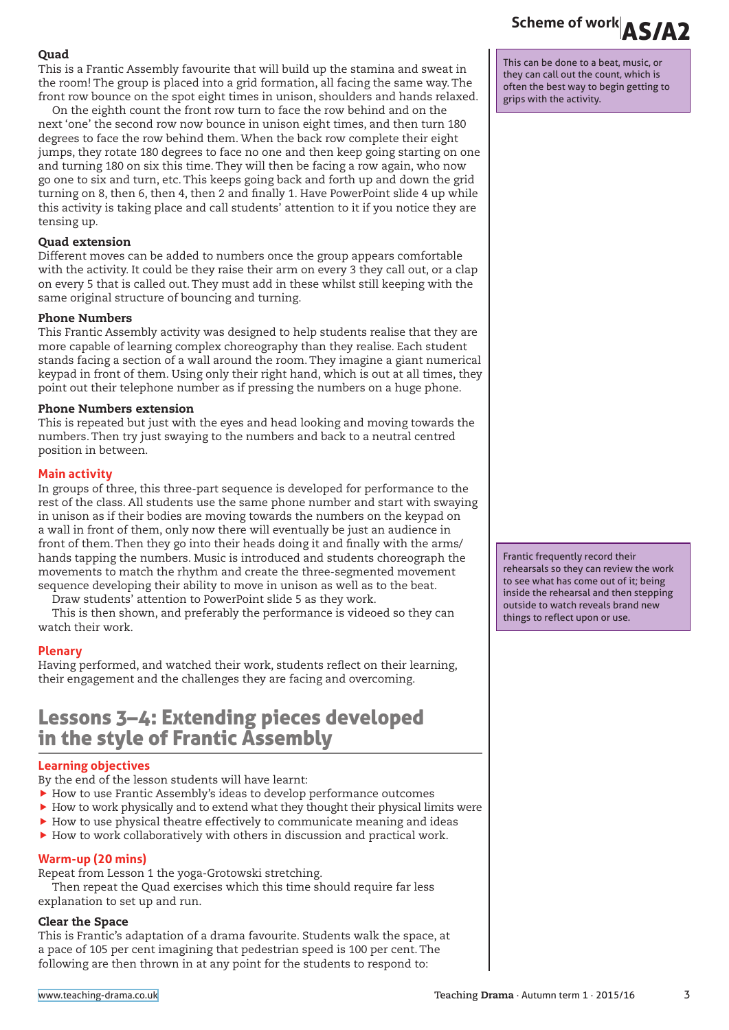#### Quad

This is a Frantic Assembly favourite that will build up the stamina and sweat in the room! The group is placed into a grid formation, all facing the same way. The front row bounce on the spot eight times in unison, shoulders and hands relaxed.

On the eighth count the front row turn to face the row behind and on the next 'one' the second row now bounce in unison eight times, and then turn 180 degrees to face the row behind them. When the back row complete their eight jumps, they rotate 180 degrees to face no one and then keep going starting on one and turning 180 on six this time. They will then be facing a row again, who now go one to six and turn, etc. This keeps going back and forth up and down the grid turning on 8, then 6, then 4, then 2 and finally 1. Have PowerPoint slide 4 up while this activity is taking place and call students' attention to it if you notice they are tensing up.

#### Quad extension

Different moves can be added to numbers once the group appears comfortable with the activity. It could be they raise their arm on every 3 they call out, or a clap on every 5 that is called out. They must add in these whilst still keeping with the same original structure of bouncing and turning.

#### Phone Numbers

This Frantic Assembly activity was designed to help students realise that they are more capable of learning complex choreography than they realise. Each student stands facing a section of a wall around the room. They imagine a giant numerical keypad in front of them. Using only their right hand, which is out at all times, they point out their telephone number as if pressing the numbers on a huge phone.

#### Phone Numbers extension

This is repeated but just with the eyes and head looking and moving towards the numbers. Then try just swaying to the numbers and back to a neutral centred position in between.

#### **Main activity**

In groups of three, this three-part sequence is developed for performance to the rest of the class. All students use the same phone number and start with swaying in unison as if their bodies are moving towards the numbers on the keypad on a wall in front of them, only now there will eventually be just an audience in front of them. Then they go into their heads doing it and finally with the arms/ hands tapping the numbers. Music is introduced and students choreograph the movements to match the rhythm and create the three-segmented movement sequence developing their ability to move in unison as well as to the beat.

Draw students' attention to PowerPoint slide 5 as they work.

This is then shown, and preferably the performance is videoed so they can watch their work.

#### **Plenary**

Having performed, and watched their work, students reflect on their learning, their engagement and the challenges they are facing and overcoming.

## Lessons 3–4: Extending pieces developed in the style of Frantic Assembly

#### **Learning objectives**

By the end of the lesson students will have learnt:

- $\blacktriangleright$  How to use Frantic Assembly's ideas to develop performance outcomes
- $\blacktriangleright$  How to work physically and to extend what they thought their physical limits were
- $\blacktriangleright$  How to use physical theatre effectively to communicate meaning and ideas
- $\blacktriangleright$  How to work collaboratively with others in discussion and practical work.

#### **Warm-up (20 mins)**

Repeat from Lesson 1 the yoga-Grotowski stretching.

Then repeat the Quad exercises which this time should require far less explanation to set up and run.

#### Clear the Space

This is Frantic's adaptation of a drama favourite. Students walk the space, at a pace of 105 per cent imagining that pedestrian speed is 100 per cent. The following are then thrown in at any point for the students to respond to:

# Scheme of work **AS/A2**

This can be done to a beat, music, or they can call out the count, which is often the best way to begin getting to grips with the activity.

Frantic frequently record their rehearsals so they can review the work to see what has come out of it; being inside the rehearsal and then stepping outside to watch reveals brand new things to reflect upon or use.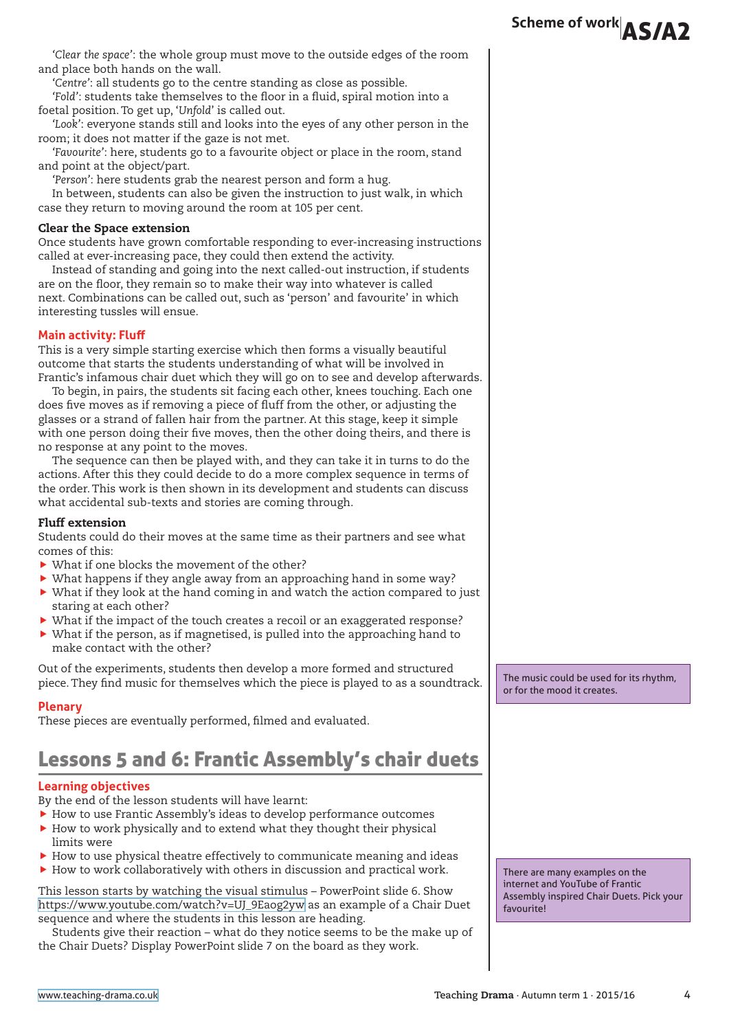*'Clear the space'*: the whole group must move to the outside edges of the room and place both hands on the wall.

*'Centre'*: all students go to the centre standing as close as possible.

*'Fold'*: students take themselves to the floor in a fluid, spiral motion into a foetal position. To get up, '*Unfold*' is called out.

*'Look'*: everyone stands still and looks into the eyes of any other person in the room; it does not matter if the gaze is not met.

*'Favourite'*: here, students go to a favourite object or place in the room, stand and point at the object/part.

*'Person'*: here students grab the nearest person and form a hug.

In between, students can also be given the instruction to just walk, in which case they return to moving around the room at 105 per cent.

#### Clear the Space extension

Once students have grown comfortable responding to ever-increasing instructions called at ever-increasing pace, they could then extend the activity.

Instead of standing and going into the next called-out instruction, if students are on the floor, they remain so to make their way into whatever is called next. Combinations can be called out, such as 'person' and favourite' in which interesting tussles will ensue.

#### **Main activity: Fluff**

This is a very simple starting exercise which then forms a visually beautiful outcome that starts the students understanding of what will be involved in Frantic's infamous chair duet which they will go on to see and develop afterwards.

To begin, in pairs, the students sit facing each other, knees touching. Each one does five moves as if removing a piece of fluff from the other, or adjusting the glasses or a strand of fallen hair from the partner. At this stage, keep it simple with one person doing their five moves, then the other doing theirs, and there is no response at any point to the moves.

The sequence can then be played with, and they can take it in turns to do the actions. After this they could decide to do a more complex sequence in terms of the order. This work is then shown in its development and students can discuss what accidental sub-texts and stories are coming through.

#### Fluff extension

Students could do their moves at the same time as their partners and see what comes of this:

- $\blacktriangleright$  What if one blocks the movement of the other?
- $\triangleright$  What happens if they angle away from an approaching hand in some way?
- $\triangleright$  What if they look at the hand coming in and watch the action compared to just staring at each other?
- What if the impact of the touch creates a recoil or an exaggerated response?
- $\blacktriangleright$  What if the person, as if magnetised, is pulled into the approaching hand to make contact with the other?

Out of the experiments, students then develop a more formed and structured piece. They find music for themselves which the piece is played to as a soundtrack.

#### **Plenary**

These pieces are eventually performed, filmed and evaluated.

## Lessons 5 and 6: Frantic Assembly's chair duets

#### **Learning objectives**

By the end of the lesson students will have learnt:

- $\blacktriangleright$  How to use Frantic Assembly's ideas to develop performance outcomes
- $\blacktriangleright$  How to work physically and to extend what they thought their physical limits were
- $\blacktriangleright$  How to use physical theatre effectively to communicate meaning and ideas
- $\blacktriangleright$  How to work collaboratively with others in discussion and practical work.

This lesson starts by watching the visual stimulus – PowerPoint slide 6. Show [https://www.youtube.com/watch?v=UJ\\_9Eaog2yw](https://www.youtube.com/watch?v=UJ_9Eaog2yw) as an example of a Chair Duet sequence and where the students in this lesson are heading.

Students give their reaction – what do they notice seems to be the make up of the Chair Duets? Display PowerPoint slide 7 on the board as they work.

The music could be used for its rhythm, or for the mood it creates.

There are many examples on the internet and YouTube of Frantic Assembly inspired Chair Duets. Pick your favouritel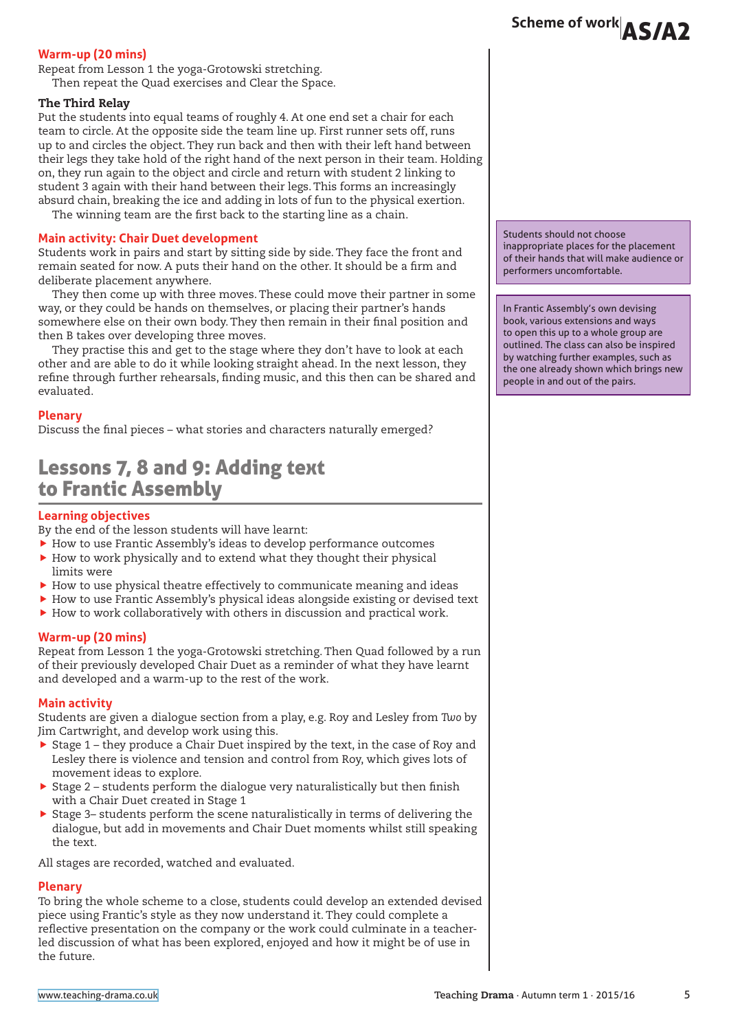#### **Warm-up (20 mins)**

Repeat from Lesson 1 the yoga-Grotowski stretching. Then repeat the Quad exercises and Clear the Space.

#### The Third Relay

Put the students into equal teams of roughly 4. At one end set a chair for each team to circle. At the opposite side the team line up. First runner sets off, runs up to and circles the object. They run back and then with their left hand between their legs they take hold of the right hand of the next person in their team. Holding on, they run again to the object and circle and return with student 2 linking to student 3 again with their hand between their legs. This forms an increasingly absurd chain, breaking the ice and adding in lots of fun to the physical exertion.

The winning team are the first back to the starting line as a chain.

#### **Main activity: Chair Duet development**

Students work in pairs and start by sitting side by side. They face the front and remain seated for now. A puts their hand on the other. It should be a firm and deliberate placement anywhere.

They then come up with three moves. These could move their partner in some way, or they could be hands on themselves, or placing their partner's hands somewhere else on their own body. They then remain in their final position and then B takes over developing three moves.

They practise this and get to the stage where they don't have to look at each other and are able to do it while looking straight ahead. In the next lesson, they refine through further rehearsals, finding music, and this then can be shared and evaluated.

#### **Plenary**

Discuss the final pieces – what stories and characters naturally emerged?

## Lessons 7, 8 and 9: Adding text to Frantic Assembly

#### **Learning objectives**

By the end of the lesson students will have learnt:

- $\blacktriangleright$  How to use Frantic Assembly's ideas to develop performance outcomes
- $\blacktriangleright$  How to work physically and to extend what they thought their physical limits were
- $\blacktriangleright$  How to use physical theatre effectively to communicate meaning and ideas
- $\blacktriangleright$  How to use Frantic Assembly's physical ideas alongside existing or devised text
- $\blacktriangleright$  How to work collaboratively with others in discussion and practical work.

#### **Warm-up (20 mins)**

Repeat from Lesson 1 the yoga-Grotowski stretching. Then Quad followed by a run of their previously developed Chair Duet as a reminder of what they have learnt and developed and a warm-up to the rest of the work.

#### **Main activity**

Students are given a dialogue section from a play, e.g. Roy and Lesley from *Two* by Jim Cartwright, and develop work using this.

- $\triangleright$  Stage 1 they produce a Chair Duet inspired by the text, in the case of Roy and Lesley there is violence and tension and control from Roy, which gives lots of movement ideas to explore.
- $\triangleright$  Stage 2 students perform the dialogue very naturalistically but then finish with a Chair Duet created in Stage 1
- $\triangleright$  Stage 3– students perform the scene naturalistically in terms of delivering the dialogue, but add in movements and Chair Duet moments whilst still speaking the text.

All stages are recorded, watched and evaluated.

#### **Plenary**

To bring the whole scheme to a close, students could develop an extended devised piece using Frantic's style as they now understand it. They could complete a reflective presentation on the company or the work could culminate in a teacherled discussion of what has been explored, enjoyed and how it might be of use in the future.

Students should not choose inappropriate places for the placement of their hands that will make audience or performers uncomfortable.

In Frantic Assembly's own devising book, various extensions and ways to open this up to a whole group are outlined. The class can also be inspired by watching further examples, such as the one already shown which brings new people in and out of the pairs.